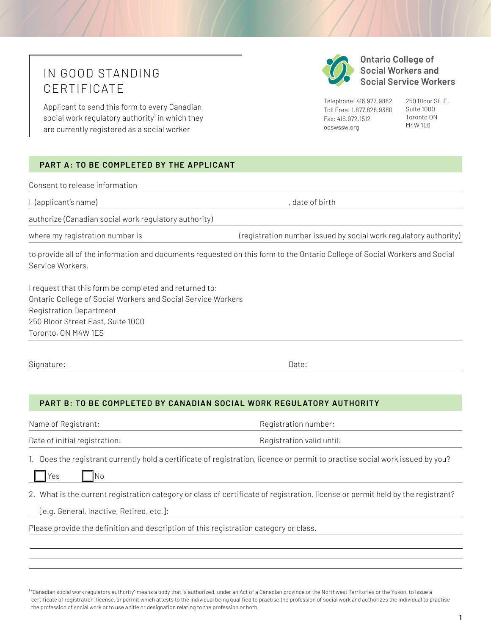## IN GOOD STANDING CERTIFICATE

Applicant to send this form to every Canadian social work regulatory authority<sup>1</sup> in which they are currently registered as a social worker

## **PART A: TO BE COMPLETED BY THE APPLICANT**

Consent to release information

l, (applicant's name) , date of birth

authorize (Canadian social work regulatory authority)

where my registration number is

to provide all of the information and documents requested on this form to the Ontario College of Social Workers and Social Service Workers.

I request that this form be completed and returned to: Ontario College of Social Workers and Social Service Workers Registration Department 250 Bloor Street East, Suite 1000 Toronto, ON M4W 1ES

Signature: Date: Date: Date: Date: Date: Date: Date: Date: Date: Date: Date: Date: Date: Date: Date: Date: Date: Date: Date: Date: Date: Date: Date: Date: Date: Date: Date: Date: Date: Date: Date: Date: Date: Date: Date: D

**PART B: TO BE COMPLETED BY CANADIAN SOCIAL WORK REGUL ATORY AUTHORITY**

Name of Registrant: Name of Registration number:

Date of initial registration:  $\qquad \qquad \qquad$  Registration valid until:

1. Does the registrant currently hold a certificate of registration, licence or permit to practise social work issued by you?

 $Yes$   $| No$ 

2. What is the current registration category or class of certificate of registration, license or permit held by the registrant?

[e.g. General, Inactive, Retired, etc.]:

Please provide the definition and description of this registration category or class.

**Ontario College of Social Workers and Social Service Workers** 

Telephone: 416.972.9882 Toll Free: 1.877.828.9380 Fax: 416.972.1512 [ocswssw.org](http://ocswssw.org)

(registration number issued by social work regulatory authority)

250 Bloor St. E. Suite 1000 Toronto ON M4W 1E6

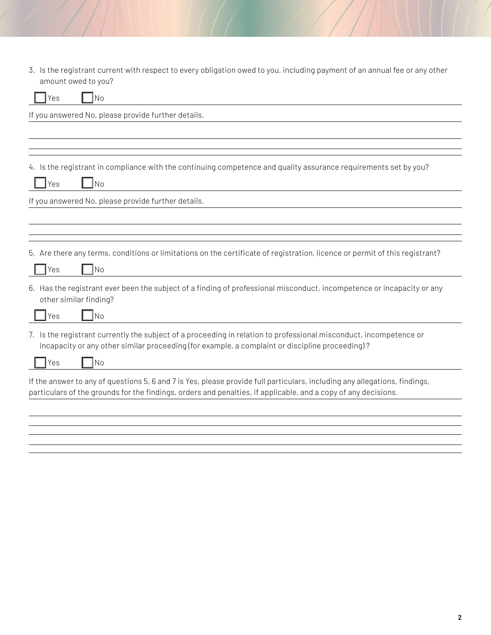3. Is the registrant current with respect to every obligation owed to you, including payment of an annual fee or any other amount owed to you?

| No<br>Yes                                                                                                                                                                                                                                    |
|----------------------------------------------------------------------------------------------------------------------------------------------------------------------------------------------------------------------------------------------|
| If you answered No, please provide further details.                                                                                                                                                                                          |
|                                                                                                                                                                                                                                              |
|                                                                                                                                                                                                                                              |
| 4. Is the registrant in compliance with the continuing competence and quality assurance requirements set by you?                                                                                                                             |
| <b>No</b><br>Yes                                                                                                                                                                                                                             |
| If you answered No, please provide further details.                                                                                                                                                                                          |
|                                                                                                                                                                                                                                              |
|                                                                                                                                                                                                                                              |
| 5. Are there any terms, conditions or limitations on the certificate of registration, licence or permit of this registrant?                                                                                                                  |
| No<br>Yes                                                                                                                                                                                                                                    |
| 6. Has the registrant ever been the subject of a finding of professional misconduct, incompetence or incapacity or any<br>other similar finding?                                                                                             |
| No<br>Yes                                                                                                                                                                                                                                    |
| 7. Is the registrant currently the subject of a proceeding in relation to professional misconduct, incompetence or<br>incapacity or any other similar proceeding (for example, a complaint or discipline proceeding)?                        |
| N <sub>o</sub><br>Yes                                                                                                                                                                                                                        |
| If the answer to any of questions 5, 6 and 7 is Yes, please provide full particulars, including any allegations, findings,<br>particulars of the grounds for the findings, orders and penalties, if applicable, and a copy of any decisions. |
|                                                                                                                                                                                                                                              |
|                                                                                                                                                                                                                                              |